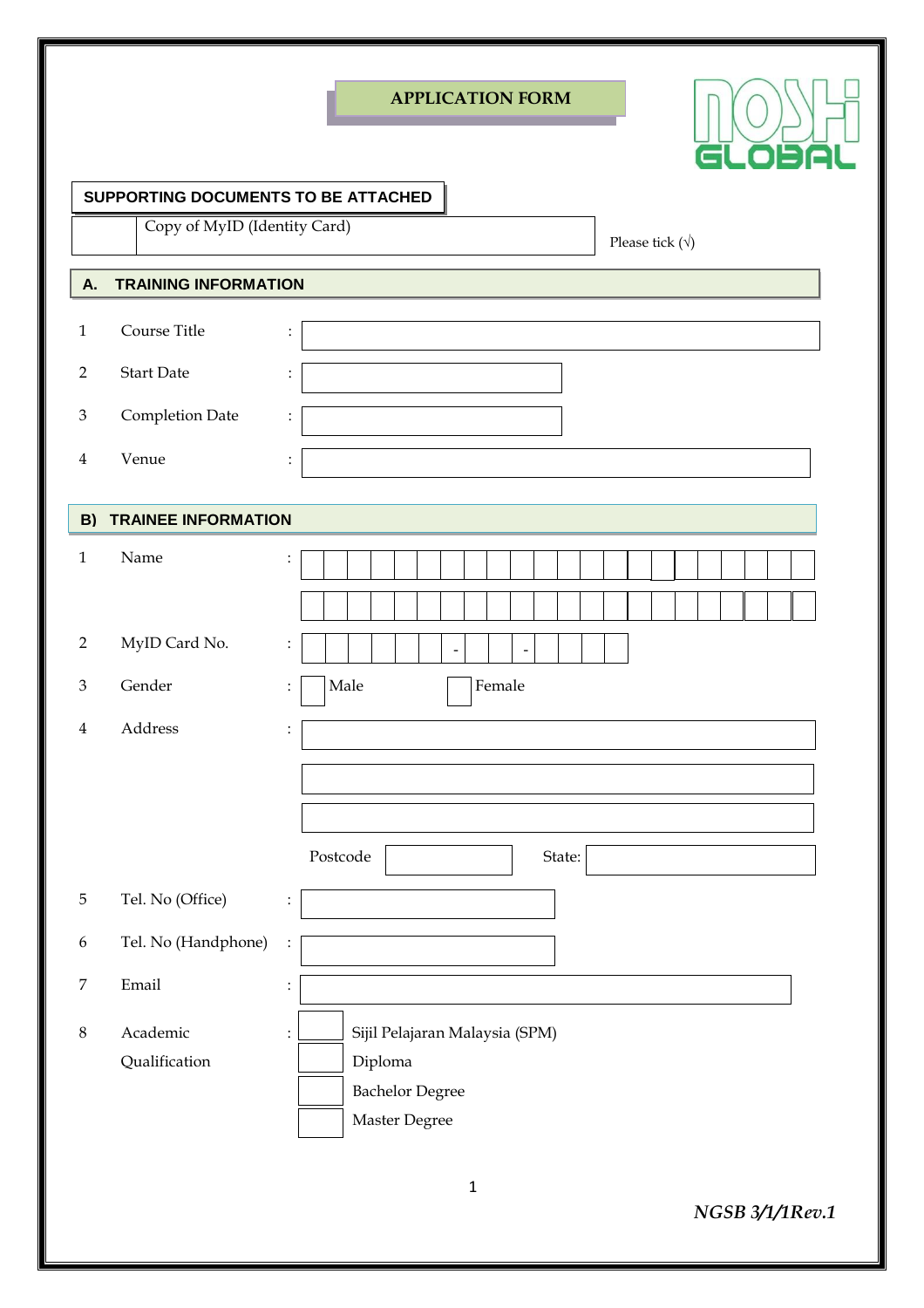|                             |                                     | <b>APPLICATION FORM</b>                          |
|-----------------------------|-------------------------------------|--------------------------------------------------|
|                             |                                     | GLOBA                                            |
|                             | SUPPORTING DOCUMENTS TO BE ATTACHED |                                                  |
|                             | Copy of MyID (Identity Card)        | Please tick $(\forall)$                          |
| A.                          | <b>TRAINING INFORMATION</b>         |                                                  |
|                             | Course Title                        |                                                  |
| $\mathbf{1}$                |                                     | $\ddot{\cdot}$                                   |
| $\overline{2}$              | <b>Start Date</b>                   | $\ddot{\cdot}$                                   |
| $\ensuremath{\mathfrak{Z}}$ | Completion Date                     | $\ddot{\cdot}$                                   |
| $\overline{4}$              | Venue                               | $\ddot{\cdot}$                                   |
|                             |                                     |                                                  |
| B)                          | <b>TRAINEE INFORMATION</b>          |                                                  |
| $\mathbf{1}$                | Name                                | $\ddot{\cdot}$                                   |
|                             |                                     |                                                  |
| $\overline{2}$              | MyID Card No.                       | $\vdots$<br>$\overline{a}$<br>$\overline{a}$     |
| $\mathfrak{B}$              | Gender                              | Male<br>Female<br>$\ddot{\cdot}$                 |
| $\overline{\mathbf{4}}$     | Address                             | $\ddot{\cdot}$                                   |
|                             |                                     |                                                  |
|                             |                                     |                                                  |
|                             |                                     |                                                  |
|                             |                                     | Postcode<br>State:                               |
| $\mathbf 5$                 | Tel. No (Office)                    | $\vdots$                                         |
| $\boldsymbol{6}$            | Tel. No (Handphone)                 | $\vdots$                                         |
| $\boldsymbol{7}$            | Email                               | $\vdots$                                         |
| $\,8\,$                     | Academic                            | Sijil Pelajaran Malaysia (SPM)<br>$\ddot{\cdot}$ |
|                             | Qualification                       | Diploma                                          |
|                             |                                     | <b>Bachelor Degree</b>                           |
|                             |                                     | Master Degree                                    |
|                             |                                     |                                                  |

*NGSB 3/1/1Rev.1*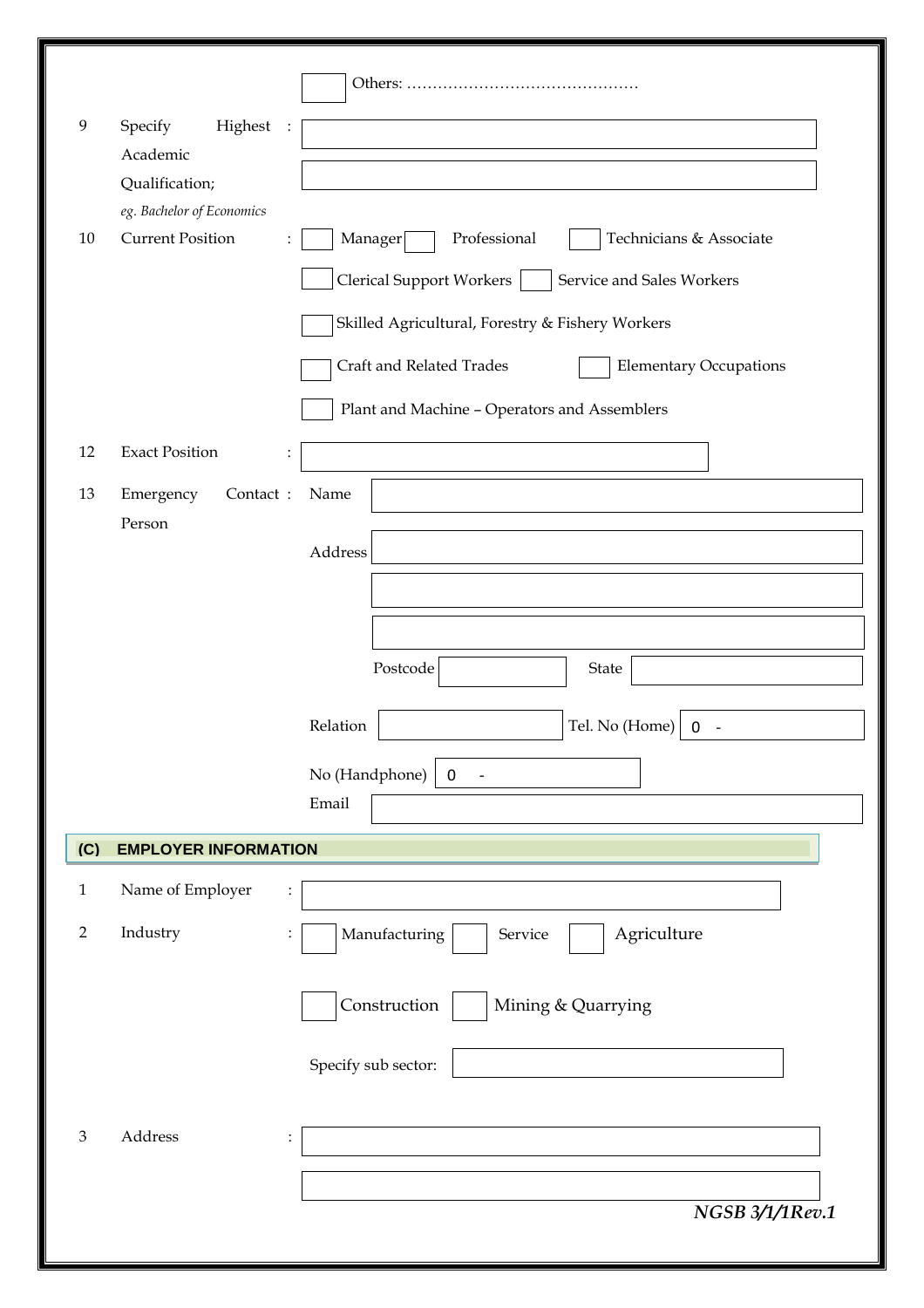| 9              | Specify<br>Highest                                   |                                                           |
|----------------|------------------------------------------------------|-----------------------------------------------------------|
|                | Academic                                             |                                                           |
|                | Qualification;                                       |                                                           |
|                | eg. Bachelor of Economics<br><b>Current Position</b> |                                                           |
| 10             |                                                      | Manager<br>Professional<br>Technicians & Associate        |
|                |                                                      | Clerical Support Workers  <br>Service and Sales Workers   |
|                |                                                      | Skilled Agricultural, Forestry & Fishery Workers          |
|                |                                                      | Craft and Related Trades<br><b>Elementary Occupations</b> |
|                |                                                      | Plant and Machine - Operators and Assemblers              |
| 12             | <b>Exact Position</b><br>$\ddot{\cdot}$              |                                                           |
| 13             | Emergency<br>Contact:                                | Name                                                      |
|                | Person                                               | Address                                                   |
|                |                                                      |                                                           |
|                |                                                      |                                                           |
|                |                                                      |                                                           |
|                |                                                      | Postcode<br>State                                         |
|                |                                                      | Relation<br>Tel. No (Home)<br>$0 -$                       |
|                |                                                      | No (Handphone)<br>$\mathbf 0$<br>$\overline{\phantom{a}}$ |
|                |                                                      | Email                                                     |
| (C)            | <b>EMPLOYER INFORMATION</b>                          |                                                           |
|                |                                                      |                                                           |
| $\mathbf{1}$   | Name of Employer<br>$\ddot{\cdot}$                   |                                                           |
| $\overline{2}$ | Industry                                             | Agriculture<br>Manufacturing<br>Service                   |
|                |                                                      | Construction<br>Mining & Quarrying                        |
|                |                                                      |                                                           |
|                |                                                      | Specify sub sector:                                       |
|                |                                                      |                                                           |
| $\mathfrak{Z}$ | Address<br>$\ddot{\cdot}$                            |                                                           |
|                |                                                      |                                                           |
|                |                                                      | NGSB 3/1/1Rev.1                                           |
|                |                                                      |                                                           |